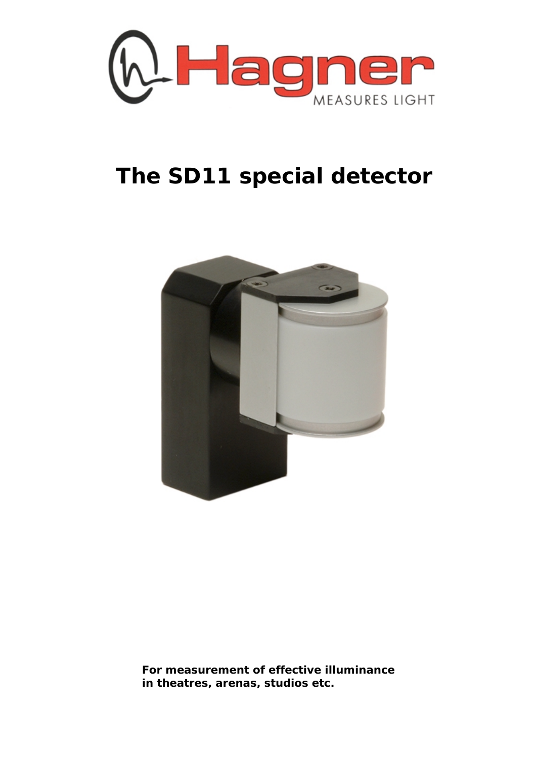

## **The SD11 special detector**



**For measurement of effective illuminance in theatres, arenas, studios etc.**